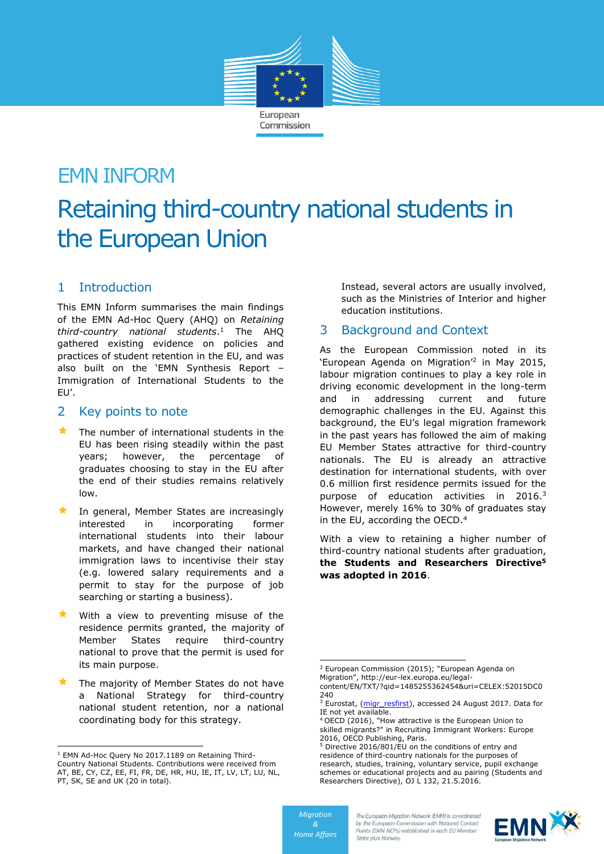

# EMN INFORM Retaining third-country national students in the European Union

# 1 Introduction

This EMN Inform summarises the main findings of the EMN Ad-Hoc Query (AHQ) on *Retaining third-country national students*. <sup>1</sup> The AHQ gathered existing evidence on policies and practices of student retention in the EU, and was also built on the 'EMN Synthesis Report – Immigration of International Students to the EU'.

## 2 Key points to note

- $\star$  The number of international students in the EU has been rising steadily within the past years; however, the percentage of graduates choosing to stay in the EU after the end of their studies remains relatively low.
- $\star$  In general, Member States are increasingly interested in incorporating former international students into their labour markets, and have changed their national immigration laws to incentivise their stay (e.g. lowered salary requirements and a permit to stay for the purpose of job searching or starting a business).
- With a view to preventing misuse of the residence permits granted, the majority of Member States require third-country national to prove that the permit is used for its main purpose.
- The majority of Member States do not have a National Strategy for third-country national student retention, nor a national coordinating body for this strategy.

-

Instead, several actors are usually involved, such as the Ministries of Interior and higher education institutions.

# 3 Background and Context

As the European Commission noted in its 'European Agenda on Migration'<sup>2</sup> in May 2015, labour migration continues to play a key role in driving economic development in the long-term and in addressing current and future demographic challenges in the EU. Against this background, the EU's legal migration framework in the past years has followed the aim of making EU Member States attractive for third-country nationals. The EU is already an attractive destination for international students, with over 0.6 million first residence permits issued for the purpose of education activities in 2016.<sup>3</sup> However, merely 16% to 30% of graduates stay in the EU, according the OECD.<sup>4</sup>

With a view to retaining a higher number of third-country national students after graduation, **the Students and Researchers Directive<sup>5</sup> was adopted in 2016**.



<sup>&</sup>lt;sup>1</sup> EMN Ad-Hoc Query No 2017.1189 on Retaining Third-Country National Students. Contributions were received from AT, BE, CY, CZ, EE, FI, FR, DE, HR, HU, IE, IT, LV, LT, LU, NL, PT, SK, SE and UK (20 in total).

<sup>-</sup><sup>2</sup> European Commission (2015); "European Agenda on Migration", http://eur-lex.europa.eu/legal-

content/EN/TXT/?qid=1485255362454&uri=CELEX:52015DC0 240

<sup>&</sup>lt;sup>3</sup> Eurostat, [\(migr\\_resfirst\)](http://appsso.eurostat.ec.europa.eu/nui/submitViewTableAction.do), accessed 24 August 2017. Data for IE not yet available.

<sup>4</sup> OECD (2016), "How attractive is the European Union to skilled migrants?" in Recruiting Immigrant Workers: Europe 2016, OECD Publishing, Paris.

<sup>&</sup>lt;sup>5</sup> Directive 2016/801/EU on the conditions of entry and residence of third-country nationals for the purposes of research, studies, training, voluntary service, pupil exchange schemes or educational projects and au pairing (Students and Researchers Directive), OJ L 132, 21.5.2016.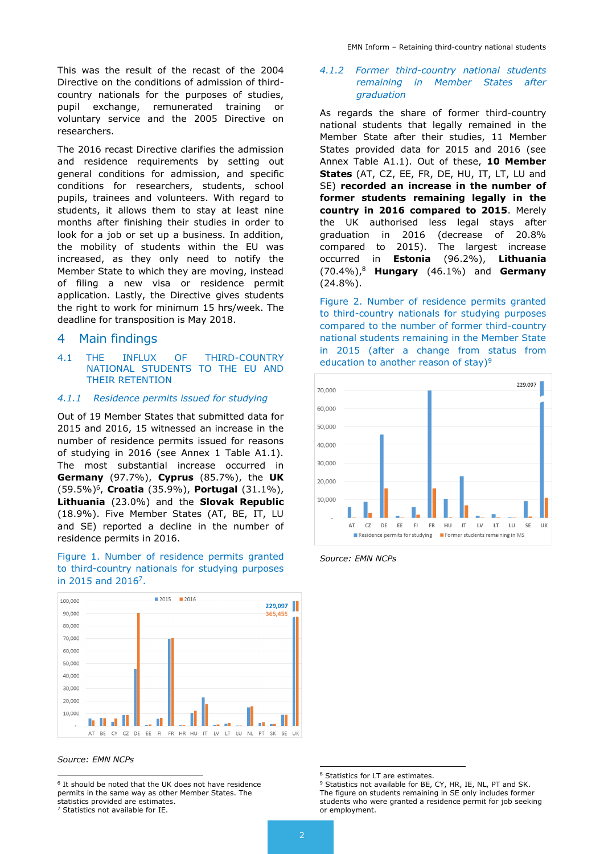This was the result of the recast of the 2004 Directive on the conditions of admission of thirdcountry nationals for the purposes of studies, pupil exchange, remunerated training or voluntary service and the 2005 Directive on researchers.

The 2016 recast Directive clarifies the admission and residence requirements by setting out general conditions for admission, and specific conditions for researchers, students, school pupils, trainees and volunteers. With regard to students, it allows them to stay at least nine months after finishing their studies in order to look for a job or set up a business. In addition, the mobility of students within the EU was increased, as they only need to notify the Member State to which they are moving, instead of filing a new visa or residence permit application. Lastly, the Directive gives students the right to work for minimum 15 hrs/week. The deadline for transposition is May 2018.

## 4 Main findings

#### 4.1 THE INFLUX OF THIRD-COUNTRY NATIONAL STUDENTS TO THE EU AND THEIR RETENTION

#### *4.1.1 Residence permits issued for studying*

Out of 19 Member States that submitted data for 2015 and 2016, 15 witnessed an increase in the number of residence permits issued for reasons of studying in 2016 (see Annex 1 Table A1.1). The most substantial increase occurred in **Germany** (97.7%), **Cyprus** (85.7%), the **UK** (59.5%)<sup>6</sup> , **Croatia** (35.9%), **Portugal** (31.1%), **Lithuania** (23.0%) and the **Slovak Republic** (18.9%). Five Member States (AT, BE, IT, LU and SE) reported a decline in the number of residence permits in 2016.





#### *Source: EMN NCPs*

<sup>7</sup> Statistics not available for IE.

#### *4.1.2 Former third-country national students remaining in Member States after graduation*

As regards the share of former third-country national students that legally remained in the Member State after their studies, 11 Member States provided data for 2015 and 2016 (see Annex Table A1.1). Out of these, **10 Member States** (AT, CZ, EE, FR, DE, HU, IT, LT, LU and SE) **recorded an increase in the number of former students remaining legally in the country in 2016 compared to 2015**. Merely the UK authorised less legal stays after graduation in 2016 (decrease of 20.8% compared to 2015). The largest increase occurred in **Estonia** (96.2%), **Lithuania** (70.4%),<sup>8</sup> **Hungary** (46.1%) and **Germany** (24.8%).

Figure 2. Number of residence permits granted to third-country nationals for studying purposes compared to the number of former third-country national students remaining in the Member State in 2015 (after a change from status from education to another reason of stay)<sup>9</sup>



*Source: EMN NCPs*

 6 It should be noted that the UK does not have residence permits in the same way as other Member States. The statistics provided are estimates.

<sup>&</sup>lt;sup>8</sup> Statistics for LT are estimates.

<sup>&</sup>lt;sup>9</sup> Statistics not available for BE, CY, HR, IE, NL, PT and SK. The figure on students remaining in SE only includes former students who were granted a residence permit for job seeking or employment.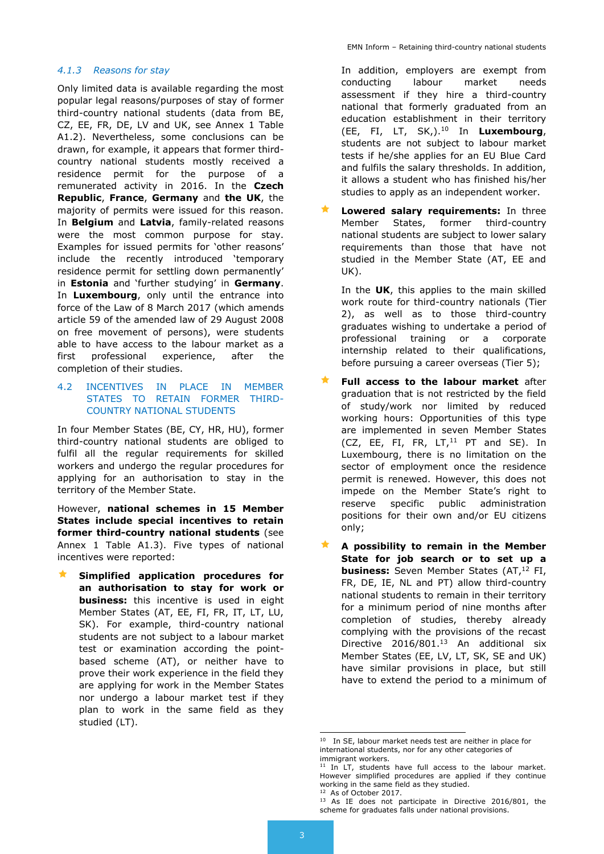#### *4.1.3 Reasons for stay*

Only limited data is available regarding the most popular legal reasons/purposes of stay of former third-country national students (data from BE, CZ, EE, FR, DE, LV and UK, see Annex 1 Table A1.2). Nevertheless, some conclusions can be drawn, for example, it appears that former thirdcountry national students mostly received a residence permit for the purpose of a remunerated activity in 2016. In the **Czech Republic**, **France**, **Germany** and **the UK**, the majority of permits were issued for this reason. In **Belgium** and **Latvia**, family-related reasons were the most common purpose for stay. Examples for issued permits for 'other reasons' include the recently introduced 'temporary residence permit for settling down permanently' in **Estonia** and 'further studying' in **Germany**. In **Luxembourg**, only until the entrance into force of the Law of 8 March 2017 (which amends article 59 of the amended law of 29 August 2008 on free movement of persons), were students able to have access to the labour market as a first professional experience, after the completion of their studies.

#### 4.2 INCENTIVES IN PLACE IN MEMBER STATES TO RETAIN FORMER THIRD-COUNTRY NATIONAL STUDENTS

In four Member States (BE, CY, HR, HU), former third-country national students are obliged to fulfil all the regular requirements for skilled workers and undergo the regular procedures for applying for an authorisation to stay in the territory of the Member State.

However, **national schemes in 15 Member States include special incentives to retain former third-country national students** (see Annex 1 Table A1.3). Five types of national incentives were reported:

 **Simplified application procedures for an authorisation to stay for work or business:** this incentive is used in eight Member States (AT, EE, FI, FR, IT, LT, LU, SK). For example, third-country national students are not subject to a labour market test or examination according the pointbased scheme (AT), or neither have to prove their work experience in the field they are applying for work in the Member States nor undergo a labour market test if they plan to work in the same field as they studied (LT).

In addition, employers are exempt from conducting labour market needs assessment if they hire a third-country national that formerly graduated from an education establishment in their territory (EE, FI, LT, SK,). <sup>10</sup> In **Luxembourg**, students are not subject to labour market tests if he/she applies for an EU Blue Card and fulfils the salary thresholds. In addition, it allows a student who has finished his/her studies to apply as an independent worker.

 **Lowered salary requirements:** In three Member States, former third-country national students are subject to lower salary requirements than those that have not studied in the Member State (AT, EE and UK).

In the **UK**, this applies to the main skilled work route for third-country nationals (Tier 2), as well as to those third-country graduates wishing to undertake a period of professional training or a corporate internship related to their qualifications, before pursuing a career overseas (Tier 5);

- **Full access to the labour market** after graduation that is not restricted by the field of study/work nor limited by reduced working hours: Opportunities of this type are implemented in seven Member States (CZ, EE, FI, FR,  $LT<sub>,11</sub>$  PT and SE). In Luxembourg, there is no limitation on the sector of employment once the residence permit is renewed. However, this does not impede on the Member State's right to reserve specific public administration positions for their own and/or EU citizens only;
- **A possibility to remain in the Member State for job search or to set up a business:** Seven Member States (AT,<sup>12</sup> FI, FR, DE, IE, NL and PT) allow third-country national students to remain in their territory for a minimum period of nine months after completion of studies, thereby already complying with the provisions of the recast Directive 2016/801.<sup>13</sup> An additional six Member States (EE, LV, LT, SK, SE and UK) have similar provisions in place, but still have to extend the period to a minimum of

<sup>&</sup>lt;sup>10</sup> In SE, labour market needs test are neither in place for international students, nor for any other categories of immigrant workers.

 $11$  In LT, students have full access to the labour market. However simplified procedures are applied if they continue working in the same field as they studied. <sup>12</sup> As of October 2017.

<sup>&</sup>lt;sup>13</sup> As IE does not participate in Directive 2016/801, the scheme for graduates falls under national provisions.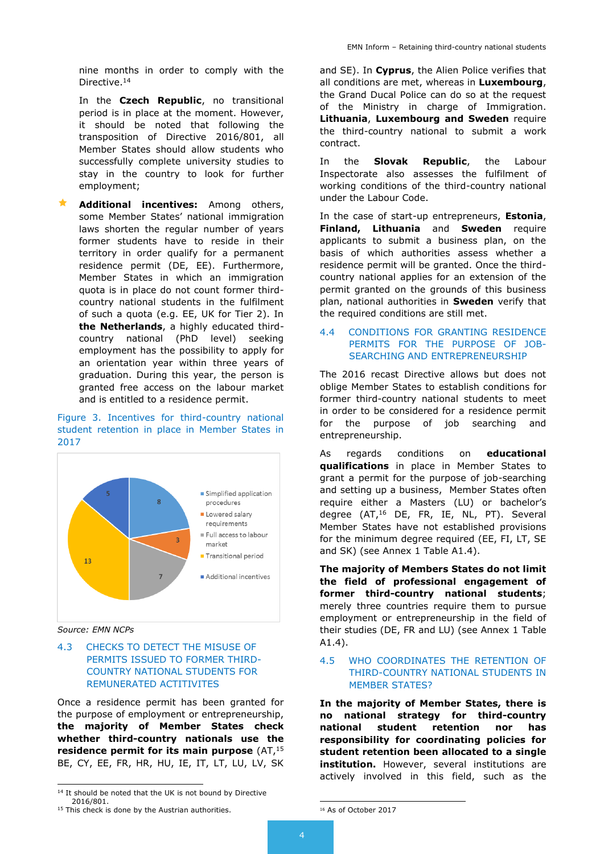nine months in order to comply with the Directive.<sup>14</sup>

In the **Czech Republic**, no transitional period is in place at the moment. However, it should be noted that following the transposition of Directive 2016/801, all Member States should allow students who successfully complete university studies to stay in the country to look for further employment;

 **Additional incentives:** Among others, some Member States' national immigration laws shorten the regular number of years former students have to reside in their territory in order qualify for a permanent residence permit (DE, EE). Furthermore, Member States in which an immigration quota is in place do not count former thirdcountry national students in the fulfilment of such a quota (e.g. EE, UK for Tier 2). In **the Netherlands**, a highly educated thirdcountry national (PhD level) seeking employment has the possibility to apply for an orientation year within three years of graduation. During this year, the person is granted free access on the labour market and is entitled to a residence permit.

#### Figure 3. Incentives for third-country national student retention in place in Member States in 2017



*Source: EMN NCPs*

-

#### 4.3 CHECKS TO DETECT THE MISUSE OF PERMITS ISSUED TO FORMER THIRD-COUNTRY NATIONAL STUDENTS FOR REMUNERATED ACTITIVITES

Once a residence permit has been granted for the purpose of employment or entrepreneurship, **the majority of Member States check whether third-country nationals use the residence permit for its main purpose** (AT,<sup>15</sup> BE, CY, EE, FR, HR, HU, IE, IT, LT, LU, LV, SK and SE). In **Cyprus**, the Alien Police verifies that all conditions are met, whereas in **Luxembourg**, the Grand Ducal Police can do so at the request of the Ministry in charge of Immigration. **Lithuania**, **Luxembourg and Sweden** require the third-country national to submit a work contract.

In the **Slovak Republic**, the Labour Inspectorate also assesses the fulfilment of working conditions of the third-country national under the Labour Code.

In the case of start-up entrepreneurs, **Estonia**, **Finland, Lithuania** and **Sweden** require applicants to submit a business plan, on the basis of which authorities assess whether a residence permit will be granted. Once the thirdcountry national applies for an extension of the permit granted on the grounds of this business plan, national authorities in **Sweden** verify that the required conditions are still met.

#### 4.4 CONDITIONS FOR GRANTING RESIDENCE PERMITS FOR THE PURPOSE OF JOB-SEARCHING AND ENTREPRENEURSHIP

The 2016 recast Directive allows but does not oblige Member States to establish conditions for former third-country national students to meet in order to be considered for a residence permit for the purpose of job searching and entrepreneurship.

As regards conditions on **educational qualifications** in place in Member States to grant a permit for the purpose of job-searching and setting up a business, Member States often require either a Masters (LU) or bachelor's degree (AT,<sup>16</sup> DE, FR, IE, NL, PT). Several Member States have not established provisions for the minimum degree required (EE, FI, LT, SE and SK) (see Annex 1 Table A1.4).

**The majority of Members States do not limit the field of professional engagement of former third-country national students**; merely three countries require them to pursue employment or entrepreneurship in the field of their studies (DE, FR and LU) (see Annex 1 Table A1.4).

#### 4.5 WHO COORDINATES THE RETENTION OF THIRD-COUNTRY NATIONAL STUDENTS IN MEMBER STATES?

**In the majority of Member States, there is no national strategy for third-country national student retention nor has responsibility for coordinating policies for student retention been allocated to a single institution.** However, several institutions are actively involved in this field, such as the

<sup>&</sup>lt;sup>14</sup> It should be noted that the UK is not bound by Directive 2016/801.

<sup>&</sup>lt;sup>15</sup> This check is done by the Austrian authorities.

<sup>16</sup> As of October 2017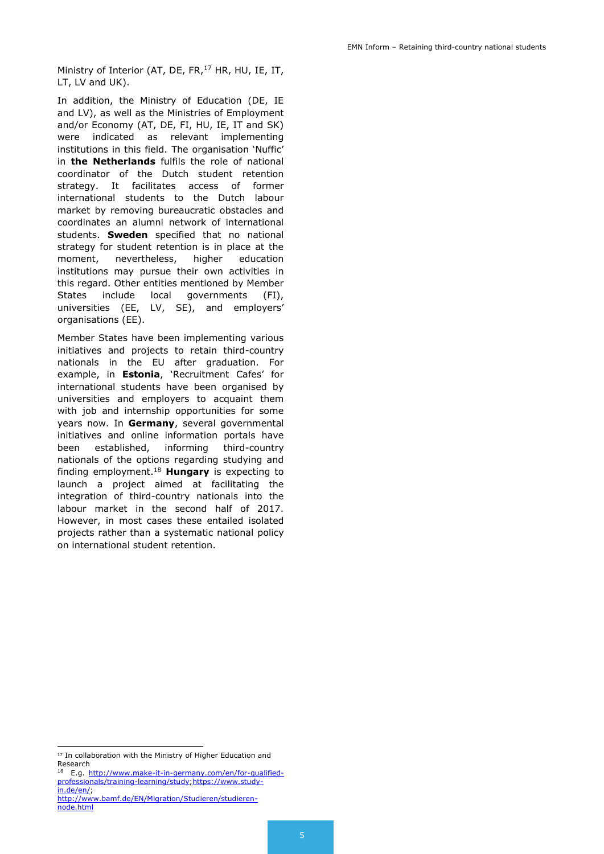Ministry of Interior (AT, DE, FR,<sup>17</sup> HR, HU, IE, IT, LT, LV and UK).

In addition, the Ministry of Education (DE, IE and LV), as well as the Ministries of Employment and/or Economy (AT, DE, FI, HU, IE, IT and SK) were indicated as relevant implementing institutions in this field. The organisation 'Nuffic' in **the Netherlands** fulfils the role of national coordinator of the Dutch student retention strategy. It facilitates access of former international students to the Dutch labour market by removing bureaucratic obstacles and coordinates an alumni network of international students. **Sweden** specified that no national strategy for student retention is in place at the moment, nevertheless, higher education institutions may pursue their own activities in this regard. Other entities mentioned by Member States include local governments (FI), universities (EE, LV, SE), and employers' organisations (EE).

Member States have been implementing various initiatives and projects to retain third-country nationals in the EU after graduation. For example, in **Estonia**, 'Recruitment Cafes' for international students have been organised by universities and employers to acquaint them with job and internship opportunities for some years now. In **Germany**, several governmental initiatives and online information portals have been established, informing third-country nationals of the options regarding studying and finding employment.<sup>18</sup> **Hungary** is expecting to launch a project aimed at facilitating the integration of third-country nationals into the labour market in the second half of 2017. However, in most cases these entailed isolated projects rather than a systematic national policy on international student retention.

<sup>&</sup>lt;sup>17</sup> In collaboration with the Ministry of Higher Education and Research

E.g. [http://www.make-it-in-germany.com/en/for-qualified](http://www.make-it-in-germany.com/en/for-qualified-professionals/training-learning/study)[professionals/training-learning/study;](http://www.make-it-in-germany.com/en/for-qualified-professionals/training-learning/study)[https://www.study](https://www.study-in.de/en/)[in.de/en/;](https://www.study-in.de/en/)

[http://www.bamf.de/EN/Migration/Studieren/studieren](http://www.bamf.de/EN/Migration/Studieren/studieren-node.html)[node.html](http://www.bamf.de/EN/Migration/Studieren/studieren-node.html)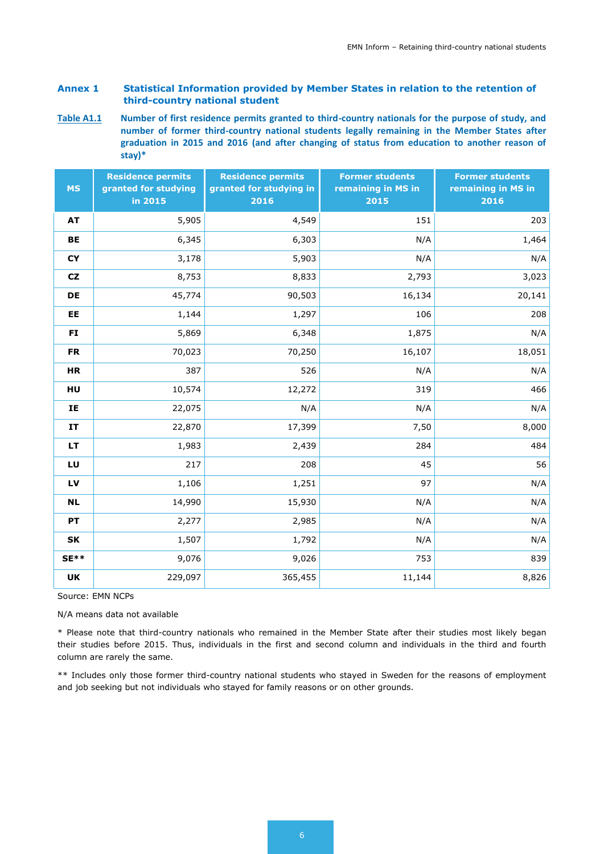## **Annex 1 Statistical Information provided by Member States in relation to the retention of third-country national student**

**Table A1.1 Number of first residence permits granted to third-country nationals for the purpose of study, and number of former third-country national students legally remaining in the Member States after graduation in 2015 and 2016 (and after changing of status from education to another reason of stay)\***

| <b>MS</b> | <b>Residence permits</b><br>granted for studying<br>in 2015 | <b>Residence permits</b><br>granted for studying in<br>2016 | <b>Former students</b><br>remaining in MS in<br>2015 | <b>Former students</b><br>remaining in MS in<br>2016 |
|-----------|-------------------------------------------------------------|-------------------------------------------------------------|------------------------------------------------------|------------------------------------------------------|
| <b>AT</b> | 5,905                                                       | 4,549                                                       | 151                                                  | 203                                                  |
| BE        | 6,345                                                       | 6,303                                                       | N/A                                                  | 1,464                                                |
| <b>CY</b> | 3,178                                                       | 5,903                                                       | N/A                                                  | N/A                                                  |
| <b>CZ</b> | 8,753                                                       | 8,833                                                       | 2,793                                                | 3,023                                                |
| DE        | 45,774                                                      | 90,503                                                      | 16,134                                               | 20,141                                               |
| EE        | 1,144                                                       | 1,297                                                       | 106                                                  | 208                                                  |
| FI        | 5,869                                                       | 6,348                                                       | 1,875                                                | N/A                                                  |
| <b>FR</b> | 70,023                                                      | 70,250                                                      | 16,107                                               | 18,051                                               |
| <b>HR</b> | 387                                                         | 526                                                         | N/A                                                  | N/A                                                  |
| HU        | 10,574                                                      | 12,272                                                      | 319                                                  | 466                                                  |
| IE        | 22,075                                                      | N/A                                                         | N/A                                                  | N/A                                                  |
| IT        | 22,870                                                      | 17,399                                                      | 7,50                                                 | 8,000                                                |
| LT.       | 1,983                                                       | 2,439                                                       | 284                                                  | 484                                                  |
| LU        | 217                                                         | 208                                                         | 45                                                   | 56                                                   |
| LV        | 1,106                                                       | 1,251                                                       | 97                                                   | N/A                                                  |
| <b>NL</b> | 14,990                                                      | 15,930                                                      | N/A                                                  | N/A                                                  |
| <b>PT</b> | 2,277                                                       | 2,985                                                       | N/A                                                  | N/A                                                  |
| SK        | 1,507                                                       | 1,792                                                       | N/A                                                  | N/A                                                  |
| $SE**$    | 9,076                                                       | 9,026                                                       | 753                                                  | 839                                                  |
| UK        | 229,097                                                     | 365,455                                                     | 11,144                                               | 8,826                                                |

Source: EMN NCPs

N/A means data not available

\* Please note that third-country nationals who remained in the Member State after their studies most likely began their studies before 2015. Thus, individuals in the first and second column and individuals in the third and fourth column are rarely the same.

\*\* Includes only those former third-country national students who stayed in Sweden for the reasons of employment and job seeking but not individuals who stayed for family reasons or on other grounds.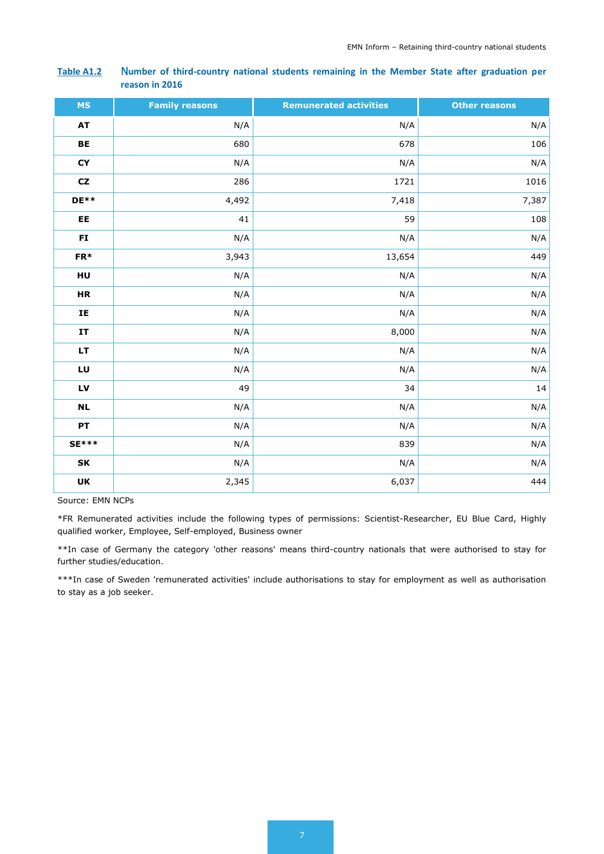#### **Table A1.2** N**umber of third-country national students remaining in the Member State after graduation per reason in 2016**

| <b>MS</b>    | <b>Family reasons</b> | <b>Remunerated activities</b> | <b>Other reasons</b> |
|--------------|-----------------------|-------------------------------|----------------------|
| <b>AT</b>    | N/A                   | N/A                           | N/A                  |
| BE           | 680                   | 678                           | 106                  |
| CY           | N/A                   | N/A                           | N/A                  |
| CZ           | 286                   | 1721                          | 1016                 |
| $DE**$       | 4,492                 | 7,418                         | 7,387                |
| EE           | 41                    | 59                            | 108                  |
| FI           | N/A                   | N/A                           | N/A                  |
| $FR*$        | 3,943                 | 13,654                        | 449                  |
| HU           | N/A                   | N/A                           | N/A                  |
| <b>HR</b>    | N/A                   | N/A                           | N/A                  |
| IE           | N/A                   | N/A                           | N/A                  |
| IT           | N/A                   | 8,000                         | N/A                  |
| LT           | N/A                   | N/A                           | N/A                  |
| LU           | N/A                   | N/A                           | N/A                  |
| LV           | 49                    | 34                            | $14\,$               |
| $\sf NL$     | N/A                   | N/A                           | N/A                  |
| PT           | N/A                   | N/A                           | N/A                  |
| <b>SE***</b> | N/A                   | 839                           | N/A                  |
| SK           | N/A                   | N/A                           | N/A                  |
| UK           | 2,345                 | 6,037                         | 444                  |

Source: EMN NCPs

\*FR Remunerated activities include the following types of permissions: Scientist-Researcher, EU Blue Card, Highly qualified worker, Employee, Self-employed, Business owner

\*\*In case of Germany the category 'other reasons' means third-country nationals that were authorised to stay for further studies/education.

\*\*\*In case of Sweden 'remunerated activities' include authorisations to stay for employment as well as authorisation to stay as a job seeker.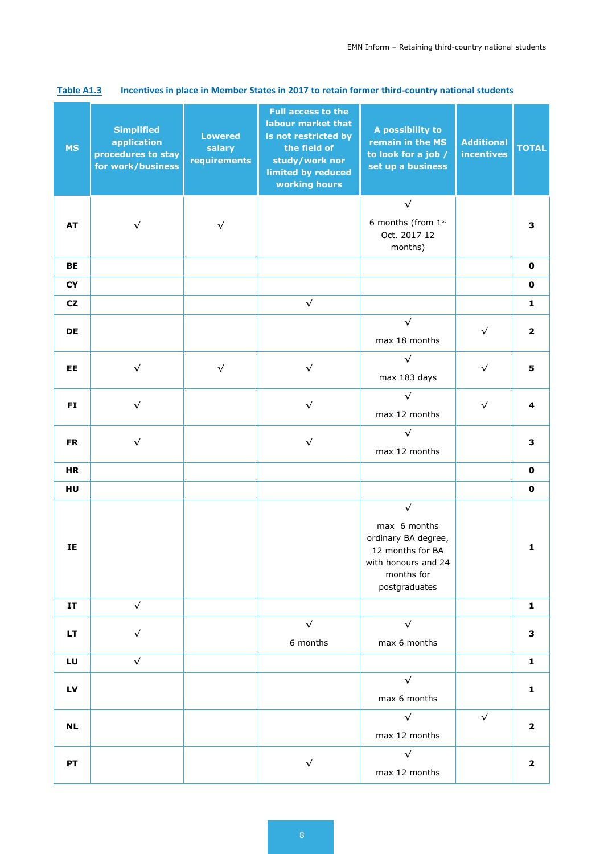| <b>MS</b> | <b>Simplified</b><br>application<br>procedures to stay<br>for work/business | <b>Lowered</b><br>salary<br>requirements | <b>Full access to the</b><br>labour market that<br>is not restricted by<br>the field of<br>study/work nor<br>limited by reduced<br>working hours | A possibility to<br>remain in the MS<br>to look for a job /<br>set up a business                                           | <b>Additional</b><br><b>incentives</b> | <b>TOTAL</b>            |
|-----------|-----------------------------------------------------------------------------|------------------------------------------|--------------------------------------------------------------------------------------------------------------------------------------------------|----------------------------------------------------------------------------------------------------------------------------|----------------------------------------|-------------------------|
|           |                                                                             |                                          |                                                                                                                                                  | $\sqrt{}$                                                                                                                  |                                        |                         |
| <b>AT</b> | $\sqrt{}$                                                                   | $\sqrt{}$                                |                                                                                                                                                  | 6 months (from 1st<br>Oct. 2017 12<br>months)                                                                              |                                        | з                       |
| BE        |                                                                             |                                          |                                                                                                                                                  |                                                                                                                            |                                        | $\mathbf 0$             |
| <b>CY</b> |                                                                             |                                          |                                                                                                                                                  |                                                                                                                            |                                        | $\mathbf 0$             |
| cz        |                                                                             |                                          | $\sqrt{}$                                                                                                                                        |                                                                                                                            |                                        | $\mathbf{1}$            |
| DE        |                                                                             |                                          |                                                                                                                                                  | $\sqrt{}$<br>max 18 months                                                                                                 | $\sqrt{}$                              | $\overline{\mathbf{2}}$ |
| EE.       | $\sqrt{}$                                                                   | $\sqrt{}$                                | $\sqrt{}$                                                                                                                                        | $\sqrt{}$<br>max 183 days                                                                                                  | $\sqrt{}$                              | 5                       |
| <b>FI</b> | $\sqrt{}$                                                                   |                                          | $\sqrt{}$                                                                                                                                        | $\sqrt{}$<br>max 12 months                                                                                                 | $\sqrt{}$                              | 4                       |
| <b>FR</b> | $\sqrt{}$                                                                   |                                          | $\sqrt{}$                                                                                                                                        | $\sqrt{}$<br>max 12 months                                                                                                 |                                        | З                       |
| <b>HR</b> |                                                                             |                                          |                                                                                                                                                  |                                                                                                                            |                                        | $\mathbf 0$             |
| HU        |                                                                             |                                          |                                                                                                                                                  |                                                                                                                            |                                        | $\mathbf 0$             |
| IE        |                                                                             |                                          |                                                                                                                                                  | $\sqrt{}$<br>max 6 months<br>ordinary BA degree,<br>12 months for BA<br>with honours and 24<br>months for<br>postgraduates |                                        | 1                       |
| IT        | $\sqrt{}$                                                                   |                                          |                                                                                                                                                  |                                                                                                                            |                                        | $\mathbf{1}$            |
| LT.       | $\sqrt{}$                                                                   |                                          | $\sqrt{}$<br>6 months                                                                                                                            | $\sqrt{}$<br>max 6 months                                                                                                  |                                        | 3                       |
| LU        | $\sqrt{}$                                                                   |                                          |                                                                                                                                                  |                                                                                                                            |                                        | $\mathbf{1}$            |
| LV        |                                                                             |                                          |                                                                                                                                                  | $\sqrt{}$<br>max 6 months                                                                                                  |                                        | $\mathbf{1}$            |
| <b>NL</b> |                                                                             |                                          |                                                                                                                                                  | $\sqrt{}$<br>max 12 months                                                                                                 | $\sqrt{}$                              | $\overline{\mathbf{2}}$ |
| PT        |                                                                             |                                          | $\sqrt{}$                                                                                                                                        | $\sqrt{}$<br>max 12 months                                                                                                 |                                        | $\overline{\mathbf{2}}$ |

# **Table A1.3 Incentives in place in Member States in 2017 to retain former third-country national students**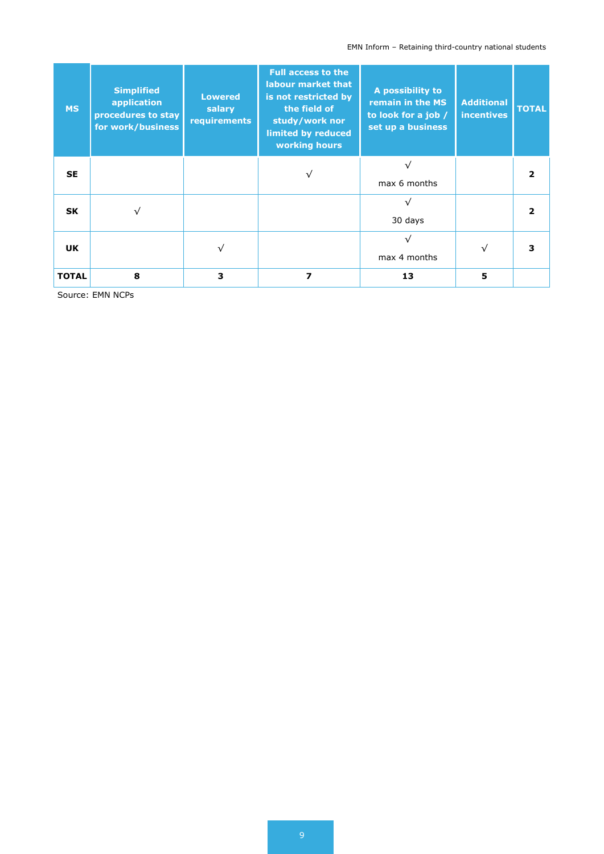## EMN Inform – Retaining third-country national students

| <b>MS</b>    | <b>Simplified</b><br>application<br>procedures to stay<br>for work/business | <b>Lowered</b><br>salary<br>requirements | <b>Full access to the</b><br>labour market that<br>is not restricted by<br>the field of<br>study/work nor<br>limited by reduced<br>working hours | A possibility to<br>remain in the MS<br>to look for a job /<br>set up a business | <b>Additional</b><br><b>incentives</b> | <b>TOTAL</b> |
|--------------|-----------------------------------------------------------------------------|------------------------------------------|--------------------------------------------------------------------------------------------------------------------------------------------------|----------------------------------------------------------------------------------|----------------------------------------|--------------|
| <b>SE</b>    |                                                                             |                                          |                                                                                                                                                  | max 6 months                                                                     |                                        |              |
| <b>SK</b>    | ν                                                                           |                                          |                                                                                                                                                  | 30 days                                                                          |                                        |              |
| <b>UK</b>    |                                                                             |                                          |                                                                                                                                                  | max 4 months                                                                     |                                        |              |
| <b>TOTAL</b> | 8                                                                           | 3                                        | 7                                                                                                                                                | 13                                                                               | 5                                      |              |

Source: EMN NCPs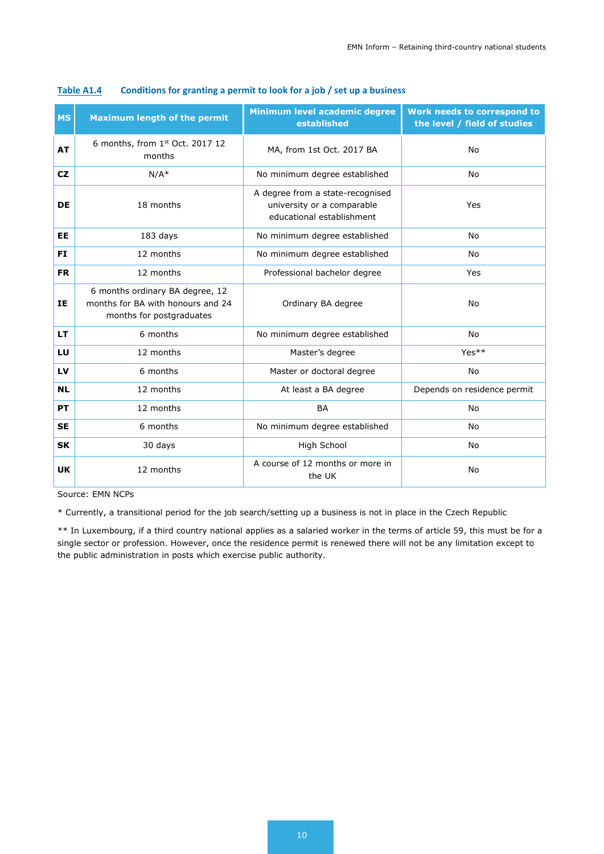| <b>MS</b> | <b>Maximum length of the permit</b>                                                              | Minimum level academic degree<br>established                                                | Work needs to correspond to<br>the level / field of studies |
|-----------|--------------------------------------------------------------------------------------------------|---------------------------------------------------------------------------------------------|-------------------------------------------------------------|
| <b>AT</b> | 6 months, from 1st Oct. 2017 12<br>months                                                        | MA, from 1st Oct. 2017 BA                                                                   | <b>No</b>                                                   |
| <b>CZ</b> | $N/A^*$                                                                                          | No minimum degree established                                                               | <b>No</b>                                                   |
| <b>DE</b> | 18 months                                                                                        | A degree from a state-recognised<br>university or a comparable<br>educational establishment | Yes                                                         |
| <b>EE</b> | 183 days                                                                                         | No minimum degree established                                                               | <b>No</b>                                                   |
| <b>FI</b> | 12 months                                                                                        | No minimum degree established                                                               | <b>No</b>                                                   |
| <b>FR</b> | 12 months                                                                                        | Professional bachelor degree                                                                | Yes                                                         |
| IE        | 6 months ordinary BA degree, 12<br>months for BA with honours and 24<br>months for postgraduates | Ordinary BA degree                                                                          | <b>No</b>                                                   |
| <b>LT</b> | 6 months                                                                                         | No minimum degree established                                                               | <b>No</b>                                                   |
| LU        | 12 months                                                                                        | Master's degree                                                                             | Yes**                                                       |
| LV        | 6 months                                                                                         | Master or doctoral degree                                                                   | <b>No</b>                                                   |
| <b>NL</b> | 12 months                                                                                        | At least a BA degree                                                                        | Depends on residence permit                                 |
| <b>PT</b> | 12 months                                                                                        | <b>BA</b>                                                                                   | <b>No</b>                                                   |
| <b>SE</b> | 6 months                                                                                         | No minimum degree established                                                               | <b>No</b>                                                   |
| <b>SK</b> | 30 days                                                                                          | High School                                                                                 | No                                                          |
| <b>UK</b> | 12 months                                                                                        | A course of 12 months or more in<br>the UK                                                  | No                                                          |

#### **Table A1.4 Conditions for granting a permit to look for a job / set up a business**

Source: EMN NCPs

\* Currently, a transitional period for the job search/setting up a business is not in place in the Czech Republic

\*\* In Luxembourg, if a third country national applies as a salaried worker in the terms of article 59, this must be for a single sector or profession. However, once the residence permit is renewed there will not be any limitation except to the public administration in posts which exercise public authority.